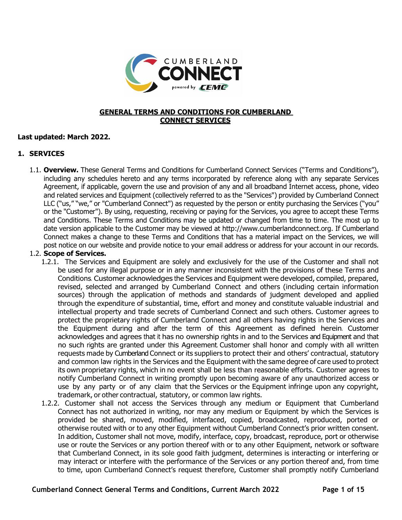

#### **GENERAL TERMS AND CONDITIONS FOR CUMBERLAND CONNECT SERVICES**

### **Last updated: March 2022.**

### **1. SERVICES**

1.1. **Overview.** These General Terms and Conditions for Cumberland Connect Services ("Terms and Conditions"), including any schedules hereto and any terms incorporated by reference along with any separate Services Agreement, if applicable, govern the use and provision of any and all broadband Internet access, phone, video and related services and Equipment (collectively referred to as the "Services") provided by Cumberland Connect LLC ("us," "we," or "Cumberland Connect") as requested by the person or entity purchasing the Services ("you" or the "Customer"). By using, requesting, receiving or paying for the Services, you agree to accept these Terms and Conditions. These Terms and Conditions may be updated or changed from time to time. The most up to date version applicable to the Customer may be viewed at http://www.cumberlandconnect.org. If Cumberland Connect makes a change to these Terms and Conditions that has a material impact on the Services, we will post notice on our website and provide notice to your email address or address for your account in our records.

#### 1.2. **Scope of Services.**

- 1.2.1. The Services and Equipment are solely and exclusively for the use of the Customer and shall not be used for any illegal purpose or in any manner inconsistent with the provisions of these Terms and Conditions. Customer acknowledges the Services and Equipment were developed, compiled, prepared, revised, selected and arranged by Cumberland Connect and others (including certain information sources) through the application of methods and standards of judgment developed and applied through the expenditure of substantial, time, effort and money and constitute valuable industrial and intellectual property and trade secrets of Cumberland Connect and such others. Customer agrees to protect the proprietary rights of Cumberland Connect and all others having rights in the Services and the Equipment during and after the term of this Agreement as defined herein. Customer acknowledges and agrees that it has no ownership rights in and to the Services and Equipment and that no such rights are granted under this Agreement. Customer shall honor and comply with all written requests made by Cumberland Connect or its suppliers to protect their and others' contractual, statutory and common law rights in the Services and the Equipment with the same degree of care used to protect its own proprietary rights, which in no event shall be less than reasonable efforts. Customer agrees to notify Cumberland Connect in writing promptly upon becoming aware of any unauthorized access or use by any party or of any claim that the Services or the Equipment infringe upon any copyright, trademark, or other contractual, statutory, or common law rights.
- 1.2.2. Customer shall not access the Services through any medium or Equipment that Cumberland Connect has not authorized in writing, nor may any medium or Equipment by which the Services is provided be shared, moved, modified, interfaced, copied, broadcasted, reproduced, ported or otherwise routed with or to any other Equipment without Cumberland Connect's prior written consent. In addition, Customer shall not move, modify, interface, copy, broadcast, reproduce, port or otherwise use or route the Services or any portion thereof with or to any other Equipment, network or software that Cumberland Connect, in its sole good faith judgment, determines is interacting or interfering or may interact or interfere with the performance of the Services or any portion thereof and, from time to time, upon Cumberland Connect's request therefore, Customer shall promptly notify Cumberland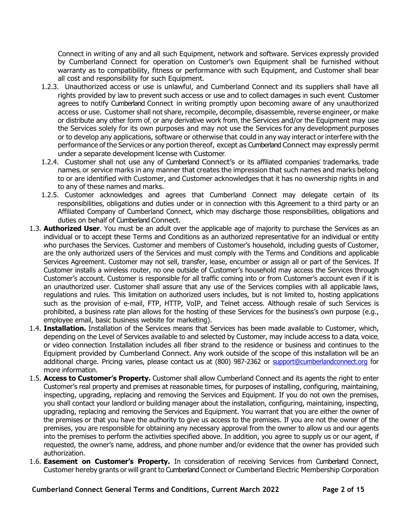Connect in writing of any and all such Equipment, network and software. Services expressly provided by Cumberland Connect for operation on Customer's own Equipment shall be furnished without warranty as to compatibility, fitness or performance with such Equipment, and Customer shall bear all cost and responsibility for such Equipment.

- 1.2.3. Unauthorized access or use is unlawful, and Cumberland Connect and its suppliers shall have all rights provided by law to prevent such access or use and to collect damages in such event. Customer agrees to notify Cumberland Connect in writing promptly upon becoming aware of any unauthorized access or use. Customer shall not share, recompile, decompile, disassemble, reverse engineer, or make or distribute any other form of, or any derivative work from, the Services and/or the Equipment may use the Services solely for its own purposes and may not use the Services for any development purposes or to develop any applications, software or otherwise that could in any way interact or interfere with the performance of the Services or any portion thereof, except as Cumberland Connect may expressly permit under a separate development license with Customer.
- 1.2.4. Customer shall not use any of Cumberland Connect's or its affiliated companies' trademarks, trade names, or service marks in any manner that creates the impression that such names and marks belong to or are identified with Customer, and Customer acknowledges that it has no ownership rights in and to any of these names and marks.
- 1.2.5. Customer acknowledges and agrees that Cumberland Connect may delegate certain of its responsibilities, obligations and duties under or in connection with this Agreement to a third party or an Affiliated Company of Cumberland Connect, which may discharge those responsibilities, obligations and duties on behalf of Cumberland Connect.
- 1.3. **Authorized User**. You must be an adult over the applicable age of majority to purchase the Services as an individual or to accept these Terms and Conditions as an authorized representative for an individual or entity who purchases the Services. Customer and members of Customer's household, including guests of Customer, are the only authorized users of the Services and must comply with the Terms and Conditions and applicable Services Agreement. Customer may not sell, transfer, lease, encumber or assign all or part of the Services. If Customer installs a wireless router, no one outside of Customer's household may access the Services through Customer's account. Customer is responsible for all traffic coming into or from Customer's account even if it is an unauthorized user. Customer shall assure that any use of the Services complies with all applicable laws, regulations and rules. This limitation on authorized users includes, but is not limited to, hosting applications such as the provision of e-mail, FTP, HTTP, VoIP, and Telnet access. Although resale of such Services is prohibited, a business rate plan allows for the hosting of these Services for the business's own purpose (e.g., employee email, basic business website for marketing).
- 1.4. **Installation.** Installation of the Services means that Services has been made available to Customer, which, depending on the Level of Services available to and selected by Customer, may include access to a data, voice, or video connection. Installation includes all fiber strand to the residence or business and continues to the Equipment provided by Cumberland Connect. Any work outside of the scope of this installation will be an additional charge. Pricing varies, please contact us at (800) 987-2362 or [support@cumberlandconnect.org](mailto:support@cumberlandconnect.org) for more information.
- 1.5. **Access to Customer's Property.** Customer shall allow Cumberland Connect and its agents the right to enter Customer's real property and premises at reasonable times, for purposes of installing, configuring, maintaining, inspecting, upgrading, replacing and removing the Services and Equipment. If you do not own the premises, you shall contact your landlord or building manager about the installation, configuring, maintaining, inspecting, upgrading, replacing and removing the Services and Equipment. You warrant that you are either the owner of the premises or that you have the authority to give us access to the premises. If you are not the owner of the premises, you are responsible for obtaining any necessary approval from the owner to allow us and our agents into the premises to perform the activities specified above. In addition, you agree to supply us or our agent, if requested, the owner's name, address, and phone number and/or evidence that the owner has provided such authorization.
- 1.6. **Easement on Customer's Property.** In consideration of receiving Services from Cumberland Connect, Customer hereby grants or will grant to Cumberland Connect or Cumberland Electric Membership Corporation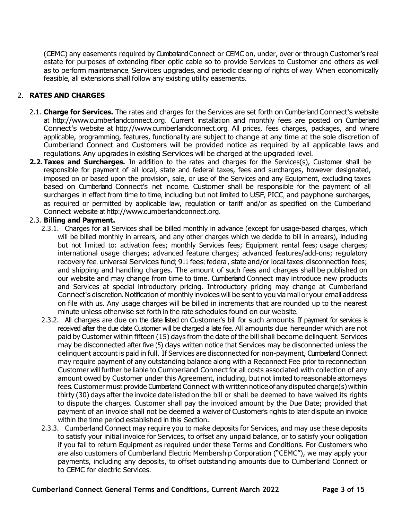(CEMC) any easements required by Cumberland Connect or CEMC on, under, over or through Customer's real estate for purposes of extending fiber optic cable so to provide Services to Customer and others as well as to perform maintenance, Services upgrades, and periodic clearing of rights of way. When economically feasible, all extensions shall follow any existing utility easements.

# 2. **RATES AND CHARGES**

- 2.1. **Charge for Services.** The rates and charges for the Services are set forth on Cumberland Connect's website at [http://www.cumberlandconnect.org.](http://www.cumberlandconnect.org/) Current installation and monthly fees are posted on Cumberland Connect's website at [http://www.cumberlandconnect.org.](http://www.cumberlandconnect.org/) All prices, fees charges, packages, and where applicable, programming, features, functionality are subject to change at any time at the sole discretion of Cumberland Connect and Customers will be provided notice as required by all applicable laws and regulations. Any upgrades in existing Services will be charged at the upgraded level.
- **2.2.Taxes and Surcharges.** In addition to the rates and charges for the Services(s), Customer shall be responsible for payment of all local, state and federal taxes, fees and surcharges, however designated, imposed on or based upon the provision, sale, or use of the Services and any Equipment, excluding taxes based on Cumberland Connect's net income. Customer shall be responsible for the payment of all surcharges in effect from time to time, including but not limited to USF, PICC, and payphone surcharges, as required or permitted by applicable law, regulation or tariff and/or as specified on the Cumberland Connect website at [http://www.cumberlandconnect.org.](http://www.cumberlandconnect.org/)

### 2.3. **Billing and Payment.**

- 2.3.1. Charges for all Services shall be billed monthly in advance (except for usage-based charges, which will be billed monthly in arrears, and any other charges which we decide to bill in arrears), including but not limited to: activation fees; monthly Services fees; Equipment rental fees; usage charges; international usage charges; advanced feature charges; advanced features/add-ons; regulatory recovery fee, universal Services fund; 911 fees; federal, state and/or local taxes; disconnection fees; and shipping and handling charges. The amount of such fees and charges shall be published on our website and may change from time to time. Cumberland Connect may introduce new products and Services at special introductory pricing. Introductory pricing may change at Cumberland Connect's discretion. Notification of monthly invoices will be sent to you via mail or your email address on file with us. Any usage charges will be billed in increments that are rounded up to the nearest minute unless otherwise set forth in the rate schedules found on our website.
- 2.3.2. All charges are due on the date listed on Customer's bill for such amounts. If payment for services is received after the due date Customer will be charged a late fee. All amounts due hereunder which are not paid by Customer within fifteen (15) days from the date of the bill shall become delinquent. Services may be disconnected after five (5) days written notice that Services may be disconnected unless the delinquent account is paid in full. If Services are disconnected for non-payment, Cumberland Connect may require payment of any outstanding balance along with a Reconnect Fee prior to reconnection. Customer will further be liable to Cumberland Connect for all costs associated with collection of any amount owed by Customer under this Agreement, including, but not limited to reasonable attorneys' fees. Customer must provide Cumberland Connect with written notice of any disputed charge(s) within thirty (30) days after the invoice date listed on the bill or shall be deemed to have waived its rights to dispute the charges. Customer shall pay the invoiced amount by the Due Date; provided that payment of an invoice shall not be deemed a waiver of Customer's rights to later dispute an invoice within the time period established in this Section.
- 2.3.3. Cumberland Connect may require you to make deposits for Services, and may use these deposits to satisfy your initial invoice for Services, to offset any unpaid balance, or to satisfy your obligation if you fail to return Equipment as required under these Terms and Conditions. For Customers who are also customers of Cumberland Electric Membership Corporation ("CEMC"), we may apply your payments, including any deposits, to offset outstanding amounts due to Cumberland Connect or to CEMC for electric Services.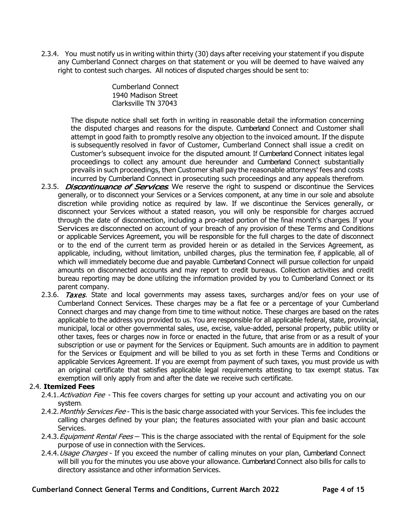2.3.4. You must notify us in writing within thirty (30) days after receiving your statement if you dispute any Cumberland Connect charges on that statement or you will be deemed to have waived any right to contest such charges. All notices of disputed charges should be sent to:

> Cumberland Connect 1940 Madison Street Clarksville TN 37043

The dispute notice shall set forth in writing in reasonable detail the information concerning the disputed charges and reasons for the dispute. Cumberland Connect and Customer shall attempt in good faith to promptly resolve any objection to the invoiced amount. If the dispute is subsequently resolved in favor of Customer, Cumberland Connect shall issue a credit on Customer's subsequent invoice for the disputed amount. If Cumberland Connect initiates legal proceedings to collect any amount due hereunder and Cumberland Connect substantially prevails in such proceedings, then Customer shall pay the reasonable attorneys' fees and costs incurred by Cumberland Connect in prosecuting such proceedings and any appeals therefrom.

- 2.3.5. *Discontinuance of Services*. We reserve the right to suspend or discontinue the Services generally, or to disconnect your Services or a Services component, at any time in our sole and absolute discretion while providing notice as required by law. If we discontinue the Services generally, or disconnect your Services without a stated reason, you will only be responsible for charges accrued through the date of disconnection, including a pro-rated portion of the final month's charges. If your Services are disconnected on account of your breach of any provision of these Terms and Conditions or applicable Services Agreement, you will be responsible for the full charges to the date of disconnect or to the end of the current term as provided herein or as detailed in the Services Agreement, as applicable, including, without limitation, unbilled charges, plus the termination fee, if applicable, all of which will immediately become due and payable. Cumberland Connect will pursue collection for unpaid amounts on disconnected accounts and may report to credit bureaus. Collection activities and credit bureau reporting may be done utilizing the information provided by you to Cumberland Connect or its parent company.
- 2.3.6. Taxes. State and local governments may assess taxes, surcharges and/or fees on your use of Cumberland Connect Services. These charges may be a flat fee or a percentage of your Cumberland Connect charges and may change from time to time without notice. These charges are based on the rates applicable to the address you provided to us. You are responsible for all applicable federal, state, provincial, municipal, local or other governmental sales, use, excise, value-added, personal property, public utility or other taxes, fees or charges now in force or enacted in the future, that arise from or as a result of your subscription or use or payment for the Services or Equipment. Such amounts are in addition to payment for the Services or Equipment and will be billed to you as set forth in these Terms and Conditions or applicable Services Agreement. If you are exempt from payment of such taxes, you must provide us with an original certificate that satisfies applicable legal requirements attesting to tax exempt status. Tax exemption will only apply from and after the date we receive such certificate.

### 2.4. **Itemized Fees**

- 2.4.1. Activation Fee This fee covers charges for setting up your account and activating you on our system.
- 2.4.2. Monthly Services Fee This is the basic charge associated with your Services. This fee includes the calling charges defined by your plan; the features associated with your plan and basic account Services.
- 2.4.3. *Equipment Rental Fees* This is the charge associated with the rental of Equipment for the sole purpose of use in connection with the Services.
- 2.4.4. Usage Charges If you exceed the number of calling minutes on your plan, Cumberland Connect will bill you for the minutes you use above your allowance. Cumberland Connect also bills for calls to directory assistance and other information Services.

**Cumberland Connect General Terms and Conditions, Current March 2022 Page 4 of 15**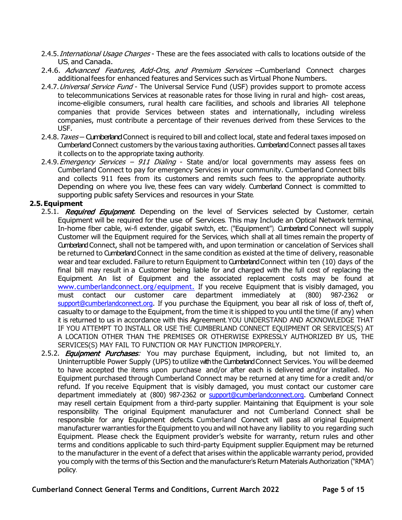- 2.4.5. International Usage Charges These are the fees associated with calls to locations outside of the US, and Canada.
- 2.4.6. Advanced Features, Add-Ons, and Premium Services Cumberland Connect charges additionalfees for enhanced features and Services such as Virtual Phone Numbers.
- 2.4.7. Universal Service Fund The Universal Service Fund (USF) provides support to promote access to telecommunications Services at reasonable rates for those living in rural and high- cost areas, income-eligible consumers, rural health care facilities, and schools and libraries All telephone companies that provide Services between states and internationally, including wireless companies, must contribute a percentage of their revenues derived from these Services to the USF.
- 2.4.8. Taxes Cumberland Connect is required to bill and collect local, state and federal taxes imposed on Cumberland Connect customers by the various taxing authorities. Cumberland Connect passes all taxes it collects on to the appropriate taxing authority.
- 2.4.9. Emergency Services 911 Dialing State and/or local governments may assess fees on Cumberland Connect to pay for emergency Services in your community. Cumberland Connect bills and collects 911 fees from its customers and remits such fees to the appropriate authority. Depending on where you live, these fees can vary widely. Cumberland Connect is committed to supporting public safety Services and resources in your State.

#### **2.5.Equipment**

- 2.5.1. Required Equipment. Depending on the level of Services selected by Customer, certain Equipment will be required for the use of Services. This may Include an Optical Network terminal, In-home fiber cable, wi-fi extender, gigabit switch, etc. ("Equipment"). Cumberland Connect will supply Customer will the Equipment required for the Services, which shall at all times remain the property of Cumberland Connect, shall not be tampered with, and upon termination or cancelation of Services shall be returned to Cumberland Connect in the same condition as existed at the time of delivery, reasonable wear and tear excluded. Failure to return Equipment to Cumberland Connect within ten (10) days of the final bill may result in a Customer being liable for and charged with the full cost of replacing the Equipment. An list of Equipment and the associated replacement costs may be found at [www.cumberlandconnect.org/equipment.](https://cumberlandconnect.org/wp-content/uploads/2021/01/2020-Cumberland-Connect-Equipment-Pricing-Online-Version1.pdf) If you receive Equipment that is visibly damaged, you<br>must contact our customer care department immediately at (800) 987-2362 or must contact our customer care department immediately at (800) 987-2362 or [support@cumberlandconnect.org.](mailto:support@cumberlandconnect.org) If you purchase the Equipment, you bear all risk of loss of, theft of, casualty to or damage to the Equipment, from the time it is shipped to you until the time (if any) when it is returned to us in accordance with this Agreement. YOU UNDERSTAND AND ACKNOWLEDGE THAT IF YOU ATTEMPT TO INSTALL OR USE THE CUMBERLAND CONNECT EQUIPMENT OR SERVICES(S) AT A LOCATION OTHER THAN THE PREMISES OR OTHERWISE EXPRESSLY AUTHORIZED BY US, THE SERVICES(S) MAY FAIL TO FUNCTION OR MAY FUNCTION IMPROPERLY.
- 2.5.2. **Equipment Purchases:** You may purchase Equipment, including, but not limited to, an Uninterruptible Power Supply (UPS) to utilize with the Cumberland Connect Services. You will be deemed to have accepted the items upon purchase and/or after each is delivered and/or installed. No Equipment purchased through Cumberland Connect may be returned at any time for a credit and/or refund. If you receive Equipment that is visibly damaged, you must contact our customer care department immediately at (800) 987-2362 or [support@cumberlandconnect.org.](mailto:support@cumberlandconnect.org) Cumberland Connect may resell certain Equipment from a third-party supplier. Maintaining that Equipment is your sole responsibility. The original Equipment manufacturer and not Cumberland Connect shall be responsible for any Equipment defects. Cumberland Connect will pass all original Equipment manufacturer warranties for the Equipment to you and will not have any liability to you regarding such Equipment. Please check the Equipment provider's website for warranty, return rules and other terms and conditions applicable to such third-party Equipment supplier. Equipment may be returned to the manufacturer in the event of a defect that arises within the applicable warranty period, provided you comply with the terms of this Section and the manufacturer's Return Materials Authorization ("RMA") policy.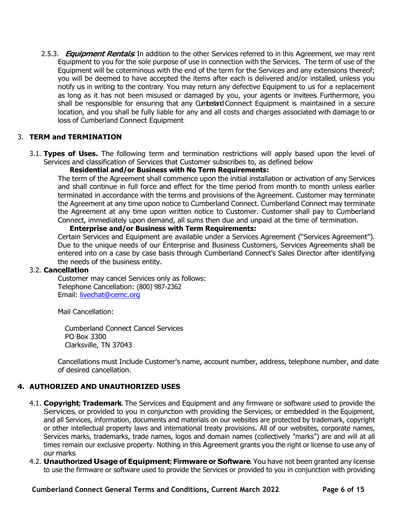2.5.3. *Equipment Rentals*. In addition to the other Services referred to in this Agreement, we may rent Equipment to you for the sole purpose of use in connection with the Services. The term of use of the Equipment will be coterminous with the end of the term for the Services and any extensions thereof; you will be deemed to have accepted the items after each is delivered and/or installed, unless you notify us in writing to the contrary. You may return any defective Equipment to us for a replacement as long as it has not been misused or damaged by you, your agents or invitees. Furthermore, you shall be responsible for ensuring that any Cumberland Connect Equipment is maintained in a secure location, and you shall be fully liable for any and all costs and charges associated with damage to or loss of Cumberland Connect Equipment.

## 3. **TERM and TERMINATION**

3.1. **Types of Uses.** The following term and termination restrictions will apply based upon the level of Services and classification of Services that Customer subscribes to, as defined below

#### **Residential and/or Business with No Term Requirements:**

The term of the Agreement shall commence upon the initial installation or activation of any Services and shall continue in full force and effect for the time period from month to month unless earlier terminated in accordance with the terms and provisions of the Agreement. Customer may terminate the Agreement at any time upon notice to Cumberland Connect. Cumberland Connect may terminate the Agreement at any time upon written notice to Customer. Customer shall pay to Cumberland Connect, immediately upon demand, all sums then due and unpaid at the time of termination.

#### **Enterprise and/or Business with Term Requirements:**

Certain Services and Equipment are available under a Services Agreement ("Services Agreement"). Due to the unique needs of our Enterprise and Business Customers, Services Agreements shall be entered into on a case by case basis through Cumberland Connect's Sales Director after identifying the needs of the business entity.

#### 3.2. **Cancellation**

Customer may cancel Services only as follows: Telephone Cancellation: (800) 987-2362 Email: [livechat@cemc.org](mailto:livechat@cemc.org)

Mail Cancellation:

Cumberland Connect Cancel Services PO Box 3300 Clarksville, TN 37043

Cancellations must Include Customer's name, account number, address, telephone number, and date of desired cancellation.

### **4. AUTHORIZED AND UNAUTHORIZED USES**

- 4.1. **Copyright; Trademark.** The Services and Equipment and any firmware or software used to provide the Services, or provided to you in conjunction with providing the Services, or embedded in the Equipment, and all Services, information, documents and materials on our websites are protected by trademark, copyright or other intellectual property laws and international treaty provisions. All of our websites, corporate names, Services marks, trademarks, trade names, logos and domain names (collectively "marks") are and will at all times remain our exclusive property. Nothing in this Agreement grants you the right or license to use any of our marks.
- 4.2. **Unauthorized Usage of Equipment; Firmware or Software.** You have not been granted any license to use the firmware or software used to provide the Services or provided to you in conjunction with providing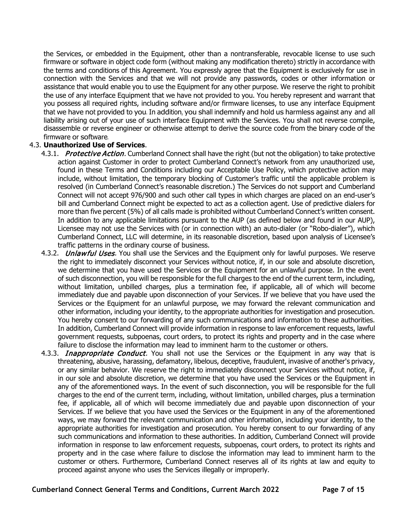the Services, or embedded in the Equipment, other than a nontransferable, revocable license to use such firmware or software in object code form (without making any modification thereto) strictly in accordance with the terms and conditions of this Agreement. You expressly agree that the Equipment is exclusively for use in connection with the Services and that we will not provide any passwords, codes or other information or assistance that would enable you to use the Equipment for any other purpose. We reserve the right to prohibit the use of any interface Equipment that we have not provided to you. You hereby represent and warrant that you possess all required rights, including software and/or firmware licenses, to use any interface Equipment that we have not provided to you. In addition, you shall indemnify and hold us harmless against any and all liability arising out of your use of such interface Equipment with the Services. You shall not reverse compile, disassemble or reverse engineer or otherwise attempt to derive the source code from the binary code of the firmware or software.

### 4.3. **Unauthorized Use of Services**.

- 4.3.1. Protective Action. Cumberland Connect shall have the right (but not the obligation) to take protective action against Customer in order to protect Cumberland Connect's network from any unauthorized use, found in these Terms and Conditions including our Acceptable Use Policy, which protective action may include, without limitation, the temporary blocking of Customer's traffic until the applicable problem is resolved (in Cumberland Connect's reasonable discretion.) The Services do not support and Cumberland Connect will not accept 976/900 and such other call types in which charges are placed on an end-user's bill and Cumberland Connect might be expected to act as a collection agent. Use of predictive dialers for more than five percent (5%) of all calls made is prohibited without Cumberland Connect's written consent. In addition to any applicable limitations pursuant to the AUP (as defined below and found in our AUP), Licensee may not use the Services with (or in connection with) an auto-dialer (or "Robo-dialer"), which Cumberland Connect, LLC will determine, in its reasonable discretion, based upon analysis of Licensee's traffic patterns in the ordinary course of business.
- 4.3.2. *Unlawful Uses.* You shall use the Services and the Equipment only for lawful purposes. We reserve the right to immediately disconnect your Services without notice, if, in our sole and absolute discretion, we determine that you have used the Services or the Equipment for an unlawful purpose. In the event of such disconnection, you will be responsible for the full charges to the end of the current term, including, without limitation, unbilled charges, plus a termination fee, if applicable, all of which will become immediately due and payable upon disconnection of your Services. If we believe that you have used the Services or the Equipment for an unlawful purpose, we may forward the relevant communication and other information, including your identity, to the appropriate authorities for investigation and prosecution. You hereby consent to our forwarding of any such communications and information to these authorities. In addition, Cumberland Connect will provide information in response to law enforcement requests, lawful government requests, subpoenas, court orders, to protect its rights and property and in the case where failure to disclose the information may lead to imminent harm to the customer or others.
- 4.3.3. *Inappropriate Conduct*. You shall not use the Services or the Equipment in any way that is threatening, abusive, harassing, defamatory, libelous, deceptive, fraudulent, invasive of another's privacy, or any similar behavior. We reserve the right to immediately disconnect your Services without notice, if, in our sole and absolute discretion, we determine that you have used the Services or the Equipment in any of the aforementioned ways. In the event of such disconnection, you will be responsible for the full charges to the end of the current term, including, without limitation, unbilled charges, plus a termination fee, if applicable, all of which will become immediately due and payable upon disconnection of your Services. If we believe that you have used the Services or the Equipment in any of the aforementioned ways, we may forward the relevant communication and other information, including your identity, to the appropriate authorities for investigation and prosecution. You hereby consent to our forwarding of any such communications and information to these authorities. In addition, Cumberland Connect will provide information in response to law enforcement requests, subpoenas, court orders, to protect its rights and property and in the case where failure to disclose the information may lead to imminent harm to the customer or others. Furthermore, Cumberland Connect reserves all of its rights at law and equity to proceed against anyone who uses the Services illegally or improperly.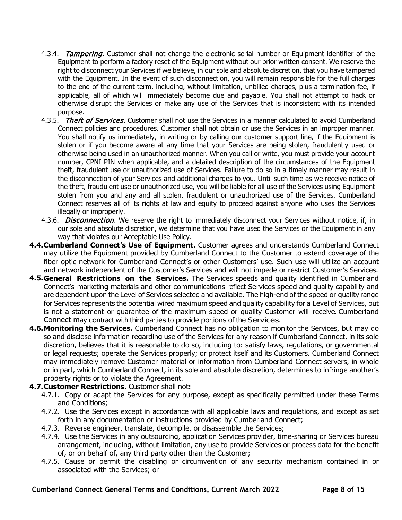- 4.3.4. Tampering. Customer shall not change the electronic serial number or Equipment identifier of the Equipment to perform a factory reset of the Equipment without our prior written consent. We reserve the right to disconnect your Services if we believe, in our sole and absolute discretion, that you have tampered with the Equipment. In the event of such disconnection, you will remain responsible for the full charges to the end of the current term, including, without limitation, unbilled charges, plus a termination fee, if applicable, all of which will immediately become due and payable. You shall not attempt to hack or otherwise disrupt the Services or make any use of the Services that is inconsistent with its intended purpose.
- 4.3.5. Theft of Services. Customer shall not use the Services in a manner calculated to avoid Cumberland Connect policies and procedures. Customer shall not obtain or use the Services in an improper manner. You shall notify us immediately, in writing or by calling our customer support line, if the Equipment is stolen or if you become aware at any time that your Services are being stolen, fraudulently used or otherwise being used in an unauthorized manner. When you call or write, you must provide your account number, CPNI PIN when applicable, and a detailed description of the circumstances of the Equipment theft, fraudulent use or unauthorized use of Services. Failure to do so in a timely manner may result in the disconnection of your Services and additional charges to you. Until such time as we receive notice of the theft, fraudulent use or unauthorized use, you will be liable for all use of the Services using Equipment stolen from you and any and all stolen, fraudulent or unauthorized use of the Services. Cumberland Connect reserves all of its rights at law and equity to proceed against anyone who uses the Services illegally or improperly.
- 4.3.6. *Disconnection.* We reserve the right to immediately disconnect your Services without notice, if, in our sole and absolute discretion, we determine that you have used the Services or the Equipment in any way that violates our Acceptable Use Policy.
- **4.4.Cumberland Connect's Use of Equipment.** Customer agrees and understands Cumberland Connect may utilize the Equipment provided by Cumberland Connect to the Customer to extend coverage of the fiber optic network for Cumberland Connect's or other Customers' use. Such use will utilize an account and network independent of the Customer's Services and will not impede or restrict Customer's Services.
- **4.5.General Restrictions on the Services.** The Services speeds and quality identified in Cumberland Connect's marketing materials and other communications reflect Services speed and quality capability and are dependent upon the Level of Services selected and available. The high-end of the speed or quality range for Services represents the potential wired maximum speed and quality capability for a Level of Services, but is not a statement or guarantee of the maximum speed or quality Customer will receive. Cumberland Connect may contract with third parties to provide portions of the Services.
- **4.6.Monitoring the Services.** Cumberland Connect has no obligation to monitor the Services, but may do so and disclose information regarding use of the Services for any reason if Cumberland Connect, in its sole discretion, believes that it is reasonable to do so, including to: satisfy laws, regulations, or governmental or legal requests; operate the Services properly; or protect itself and its Customers. Cumberland Connect may immediately remove Customer material or information from Cumberland Connect servers, in whole or in part, which Cumberland Connect, in its sole and absolute discretion, determines to infringe another's property rights or to violate the Agreement.
- **4.7.Customer Restrictions.** Customer shall not**:**
	- 4.7.1. Copy or adapt the Services for any purpose, except as specifically permitted under these Terms and Conditions;
	- 4.7.2. Use the Services except in accordance with all applicable laws and regulations, and except as set forth in any documentation or instructions provided by Cumberland Connect;
	- 4.7.3. Reverse engineer, translate, decompile, or disassemble the Services;
	- 4.7.4. Use the Services in any outsourcing, application Services provider, time-sharing or Services bureau arrangement, including, without limitation, any use to provide Services or process data for the benefit of, or on behalf of, any third party other than the Customer;
	- 4.7.5. Cause or permit the disabling or circumvention of any security mechanism contained in or associated with the Services; or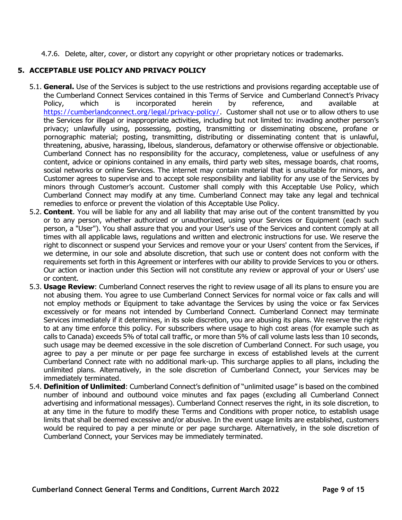4.7.6. Delete, alter, cover, or distort any copyright or other proprietary notices or trademarks.

## **5. ACCEPTABLE USE POLICY AND PRIVACY POLICY**

- 5.1. **General.** Use of the Services is subject to the use restrictions and provisions regarding acceptable use of the Cumberland Connect Services contained in this Terms of Service and Cumberland Connect's Privacy<br>
Policy, which is incorporated herein by reference, and available at Policy, which is incorporated herein by reference, and available at [https://cumberlandconnect.org/legal/privacy-policy/.](https://cumberlandconnect.org/legal/privacy-policy/) Customer shall not use or to allow others to use the Services for illegal or inappropriate activities, including but not limited to: invading another person's privacy; unlawfully using, possessing, posting, transmitting or disseminating obscene, profane or pornographic material; posting, transmitting, distributing or disseminating content that is unlawful, threatening, abusive, harassing, libelous, slanderous, defamatory or otherwise offensive or objectionable. Cumberland Connect has no responsibility for the accuracy, completeness, value or usefulness of any content, advice or opinions contained in any emails, third party web sites, message boards, chat rooms, social networks or online Services. The internet may contain material that is unsuitable for minors, and Customer agrees to supervise and to accept sole responsibility and liability for any use of the Services by minors through Customer's account. Customer shall comply with this Acceptable Use Policy, which Cumberland Connect may modify at any time. Cumberland Connect may take any legal and technical remedies to enforce or prevent the violation of this Acceptable Use Policy.
- 5.2. **Content**. You will be liable for any and all liability that may arise out of the content transmitted by you or to any person, whether authorized or unauthorized, using your Services or Equipment (each such person, a "User"). You shall assure that you and your User's use of the Services and content comply at all times with all applicable laws, regulations and written and electronic instructions for use. We reserve the right to disconnect or suspend your Services and remove your or your Users' content from the Services, if we determine, in our sole and absolute discretion, that such use or content does not conform with the requirements set forth in this Agreement or interferes with our ability to provide Services to you or others. Our action or inaction under this Section will not constitute any review or approval of your or Users' use or content.
- 5.3. **Usage Review**: Cumberland Connect reserves the right to review usage of all its plans to ensure you are not abusing them. You agree to use Cumberland Connect Services for normal voice or fax calls and will not employ methods or Equipment to take advantage the Services by using the voice or fax Services excessively or for means not intended by Cumberland Connect. Cumberland Connect may terminate Services immediately if it determines, in its sole discretion, you are abusing its plans. We reserve the right to at any time enforce this policy. For subscribers where usage to high cost areas (for example such as calls to Canada) exceeds 5% of total call traffic, or more than 5% of call volume lasts less than 10 seconds, such usage may be deemed excessive in the sole discretion of Cumberland Connect. For such usage, you agree to pay a per minute or per page fee surcharge in excess of established levels at the current Cumberland Connect rate with no additional mark-up. This surcharge applies to all plans, including the unlimited plans. Alternatively, in the sole discretion of Cumberland Connect, your Services may be immediately terminated.
- 5.4. **Definition of Unlimited**: Cumberland Connect's definition of "unlimited usage" is based on the combined number of inbound and outbound voice minutes and fax pages (excluding all Cumberland Connect advertising and informational messages). Cumberland Connect reserves the right, in its sole discretion, to at any time in the future to modify these Terms and Conditions with proper notice, to establish usage limits that shall be deemed excessive and/or abusive. In the event usage limits are established, customers would be required to pay a per minute or per page surcharge. Alternatively, in the sole discretion of Cumberland Connect, your Services may be immediately terminated.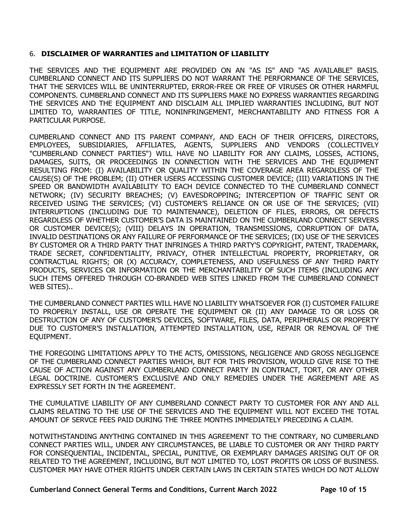### 6. **DISCLAIMER OF WARRANTIES and LIMITATION OF LIABILITY**

THE SERVICES AND THE EQUIPMENT ARE PROVIDED ON AN "AS IS" AND "AS AVAILABLE" BASIS. CUMBERLAND CONNECT AND ITS SUPPLIERS DO NOT WARRANT THE PERFORMANCE OF THE SERVICES, THAT THE SERVICES WILL BE UNINTERRUPTED, ERROR-FREE OR FREE OF VIRUSES OR OTHER HARMFUL COMPONENTS. CUMBERLAND CONNECT AND ITS SUPPLIERS MAKE NO EXPRESS WARRANTIES REGARDING THE SERVICES AND THE EQUIPMENT AND DISCLAIM ALL IMPLIED WARRANTIES INCLUDING, BUT NOT LIMITED TO, WARRANTIES OF TITLE, NONINFRINGEMENT, MERCHANTABILITY AND FITNESS FOR A PARTICULAR PURPOSE.

CUMBERLAND CONNECT AND ITS PARENT COMPANY, AND EACH OF THEIR OFFICERS, DIRECTORS, EMPLOYEES, SUBSIDIARIES, AFFILIATES, AGENTS, SUPPLIERS AND VENDORS (COLLECTIVELY "CUMBERLAND CONNECT PARTIES") WILL HAVE NO LIABILITY FOR ANY CLAIMS, LOSSES, ACTIONS, DAMAGES, SUITS, OR PROCEEDINGS IN CONNECTION WITH THE SERVICES AND THE EQUIPMENT RESULTING FROM: (I) AVAILABILITY OR QUALITY WITHIN THE COVERAGE AREA REGARDLESS OF THE CAUSE(S) OF THE PROBLEM; (II) OTHER USERS ACCESSING CUSTOMER DEVICE; (III) VARIATIONS IN THE SPEED OR BANDWIDTH AVAILABILITY TO EACH DEVICE CONNECTED TO THE CUMBERLAND CONNECT NETWORK; (IV) SECURITY BREACHES; (V) EAVESDROPPING; INTERCEPTION OF TRAFFIC SENT OR RECEIVED USING THE SERVICES; (VI) CUSTOMER'S RELIANCE ON OR USE OF THE SERVICES; (VII) INTERRUPTIONS (INCLUDING DUE TO MAINTENANCE), DELETION OF FILES, ERRORS, OR DEFECTS REGARDLESS OF WHETHER CUSTOMER'S DATA IS MAINTAINED ON THE CUMBERLAND CONNECT SERVERS OR CUSTOMER DEVICE(S); (VIII) DELAYS IN OPERATION, TRANSMISSIONS, CORRUPTION OF DATA, INVALID DESTINATIONS OR ANY FAILURE OF PERFORMANCE OF THE SERVICES; (IX) USE OF THE SERVICES BY CUSTOMER OR A THIRD PARTY THAT INFRINGES A THIRD PARTY'S COPYRIGHT, PATENT, TRADEMARK, TRADE SECRET, CONFIDENTIALITY, PRIVACY, OTHER INTELLECTUAL PROPERTY, PROPRIETARY, OR CONTRACTUAL RIGHTS; OR (X) ACCURACY, COMPLETENESS, AND USEFULNESS OF ANY THIRD PARTY PRODUCTS, SERVICES OR INFORMATION OR THE MERCHANTABILITY OF SUCH ITEMS (INCLUDING ANY SUCH ITEMS OFFERED THROUGH CO-BRANDED WEB SITES LINKED FROM THE CUMBERLAND CONNECT WEB SITES)..

THE CUMBERLAND CONNECT PARTIES WILL HAVE NO LIABILITY WHATSOEVER FOR (I) CUSTOMER FAILURE TO PROPERLY INSTALL, USE OR OPERATE THE EQUIPMENT OR (II) ANY DAMAGE TO OR LOSS OR DESTRUCTION OF ANY OF CUSTOMER'S DEVICES, SOFTWARE, FILES, DATA, PERIPHERALS OR PROPERTY DUE TO CUSTOMER'S INSTALLATION, ATTEMPTED INSTALLATION, USE, REPAIR OR REMOVAL OF THE EQUIPMENT.

THE FOREGOING LIMITATIONS APPLY TO THE ACTS, OMISSIONS, NEGLIGENCE AND GROSS NEGLIGENCE OF THE CUMBERLAND CONNECT PARTIES WHICH, BUT FOR THIS PROVISION, WOULD GIVE RISE TO THE CAUSE OF ACTION AGAINST ANY CUMBERLAND CONNECT PARTY IN CONTRACT, TORT, OR ANY OTHER LEGAL DOCTRINE. CUSTOMER'S EXCLUSIVE AND ONLY REMEDIES UNDER THE AGREEMENT ARE AS EXPRESSLY SET FORTH IN THE AGREEMENT.

THE CUMULATIVE LIABILITY OF ANY CUMBERLAND CONNECT PARTY TO CUSTOMER FOR ANY AND ALL CLAIMS RELATING TO THE USE OF THE SERVICES AND THE EQUIPMENT WILL NOT EXCEED THE TOTAL AMOUNT OF SERVCE FEES PAID DURING THE THREE MONTHS IMMEDIATELY PRECEDING A CLAIM.

NOTWITHSTANDING ANYTHING CONTAINED IN THIS AGREEMENT TO THE CONTRARY, NO CUMBERLAND CONNECT PARTIES WILL, UNDER ANY CIRCUMSTANCES, BE LIABLE TO CUSTOMER OR ANY THIRD PARTY FOR CONSEQUENTIAL, INCIDENTAL, SPECIAL, PUNITIVE, OR EXEMPLARY DAMAGES ARISING OUT OF OR RELATED TO THE AGREEMENT, INCLUDING, BUT NOT LIMITED TO, LOST PROFITS OR LOSS OF BUSINESS. CUSTOMER MAY HAVE OTHER RIGHTS UNDER CERTAIN LAWS IN CERTAIN STATES WHICH DO NOT ALLOW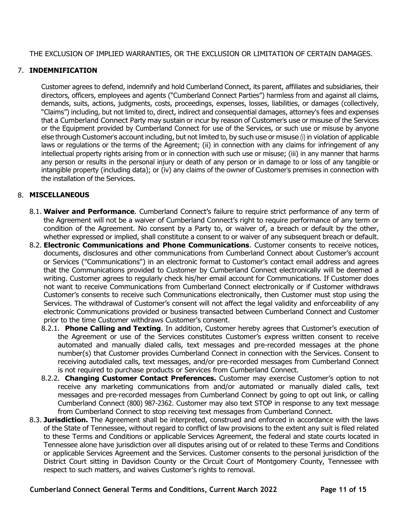THE EXCLUSION OF IMPLIED WARRANTIES, OR THE EXCLUSION OR LIMITATION OF CERTAIN DAMAGES.

### 7. **INDEMNIFICATION**

Customer agrees to defend, indemnify and hold Cumberland Connect, its parent, affiliates and subsidiaries, their directors, officers, employees and agents ("Cumberland Connect Parties") harmless from and against all claims, demands, suits, actions, judgments, costs, proceedings, expenses, losses, liabilities, or damages (collectively, "Claims") including, but not limited to, direct, indirect and consequential damages, attorney's fees and expenses that a Cumberland Connect Party may sustain or incur by reason of Customer's use or misuse of the Services or the Equipment provided by Cumberland Connect for use of the Services, or such use or misuse by anyone else through Customer's account including, but not limited to, by such use or misuse (i) in violation of applicable laws or regulations or the terms of the Agreement; (ii) in connection with any claims for infringement of any intellectual property rights arising from or in connection with such use or misuse; (iii) in any manner that harms any person or results in the personal injury or death of any person or in damage to or loss of any tangible or intangible property (including data); or (iv) any claims of the owner of Customer's premises in connection with the installation of the Services.

#### 8. **MISCELLANEOUS**

- 8.1. **Waiver and Performance**. Cumberland Connect's failure to require strict performance of any term of the Agreement will not be a waiver of Cumberland Connect's right to require performance of any term or condition of the Agreement. No consent by a Party to, or waiver of, a breach or default by the other, whether expressed or implied, shall constitute a consent to or waiver of any subsequent breach or default.
- 8.2. **Electronic Communications and Phone Communications**. Customer consents to receive notices, documents, disclosures and other communications from Cumberland Connect about Customer's account or Services ("Communications") in an electronic format to Customer's contact email address and agrees that the Communications provided to Customer by Cumberland Connect electronically will be deemed a writing. Customer agrees to regularly check his/her email account for Communications. If Customer does not want to receive Communications from Cumberland Connect electronically or if Customer withdraws Customer's consents to receive such Communications electronically, then Customer must stop using the Services. The withdrawal of Customer's consent will not affect the legal validity and enforceability of any electronic Communications provided or business transacted between Cumberland Connect and Customer prior to the time Customer withdraws Customer's consent.
	- 8.2.1. **Phone Calling and Texting**. In addition, Customer hereby agrees that Customer's execution of the Agreement or use of the Services constitutes Customer's express written consent to receive automated and manually dialed calls, text messages and pre-recorded messages at the phone number(s) that Customer provides Cumberland Connect in connection with the Services. Consent to receiving autodialed calls, text messages, and/or pre-recorded messages from Cumberland Connect is not required to purchase products or Services from Cumberland Connect.
	- 8.2.2. **Changing Customer Contact Preferences.** Customer may exercise Customer's option to not receive any marketing communications from and/or automated or manually dialed calls, text messages and pre-recorded messages from Cumberland Connect by going to opt out link, or calling Cumberland Connect (800) 987-2362. Customer may also text STOP in response to any text message from Cumberland Connect to stop receiving text messages from Cumberland Connect.
- 8.3. **Jurisdiction.** The Agreement shall be interpreted, construed and enforced in accordance with the laws of the State of Tennessee, without regard to conflict of law provisions to the extent any suit is filed related to these Terms and Conditions or applicable Services Agreement, the federal and state courts located in Tennessee alone have jurisdiction over all disputes arising out of or related to these Terms and Conditions or applicable Services Agreement and the Services. Customer consents to the personal jurisdiction of the District Court sitting in Davidson County or the Circuit Court of Montgomery County, Tennessee with respect to such matters, and waives Customer's rights to removal.

**Cumberland Connect General Terms and Conditions, Current March 2022 Page 11 of 15**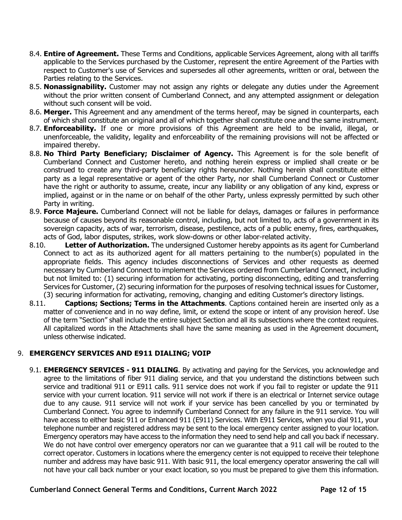- 8.4. **Entire of Agreement.** These Terms and Conditions, applicable Services Agreement, along with all tariffs applicable to the Services purchased by the Customer, represent the entire Agreement of the Parties with respect to Customer's use of Services and supersedes all other agreements, written or oral, between the Parties relating to the Services.
- 8.5. **Nonassignability.** Customer may not assign any rights or delegate any duties under the Agreement without the prior written consent of Cumberland Connect, and any attempted assignment or delegation without such consent will be void.
- 8.6. **Merger.** This Agreement and any amendment of the terms hereof, may be signed in counterparts, each of which shall constitute an original and all of which together shall constitute one and the same instrument.
- 8.7. **Enforceability.** If one or more provisions of this Agreement are held to be invalid, illegal, or unenforceable, the validity, legality and enforceability of the remaining provisions will not be affected or impaired thereby.
- 8.8. **No Third Party Beneficiary; Disclaimer of Agency.** This Agreement is for the sole benefit of Cumberland Connect and Customer hereto, and nothing herein express or implied shall create or be construed to create any third-party beneficiary rights hereunder. Nothing herein shall constitute either party as a legal representative or agent of the other Party, nor shall Cumberland Connect or Customer have the right or authority to assume, create, incur any liability or any obligation of any kind, express or implied, against or in the name or on behalf of the other Party, unless expressly permitted by such other Party in writing.
- 8.9. **Force Majeure.** Cumberland Connect will not be liable for delays, damages or failures in performance because of causes beyond its reasonable control, including, but not limited to, acts of a government in its sovereign capacity, acts of war, terrorism, disease, pestilence, acts of a public enemy, fires, earthquakes, acts of God, labor disputes, strikes, work slow-downs or other labor-related activity.<br>8.10. **Letter of Authorization.** The undersigned Customer hereby appoints as its a
- **Letter of Authorization.** The undersigned Customer hereby appoints as its agent for Cumberland Connect to act as its authorized agent for all matters pertaining to the number(s) populated in the appropriate fields. This agency includes disconnections of Services and other requests as deemed necessary by Cumberland Connect to implement the Services ordered from Cumberland Connect, including but not limited to: (1) securing information for activating, porting disconnecting, editing and transferring Services for Customer, (2) securing information for the purposes of resolving technical issues for Customer, (3) securing information for activating, removing, changing and editing Customer's directory listings.<br>8.11. **Captions: Sections: Terms in the Attachments**. Captions contained herein are inserted only
- **Captions; Sections; Terms in the Attachments**. Captions contained herein are inserted only as a matter of convenience and in no way define, limit, or extend the scope or intent of any provision hereof. Use of the term "Section" shall include the entire subject Section and all its subsections where the context requires. All capitalized words in the Attachments shall have the same meaning as used in the Agreement document, unless otherwise indicated.

# 9. **EMERGENCY SERVICES AND E911 DIALING; VOIP**

9.1. **EMERGENCY SERVICES - 911 DIALING**. By activating and paying for the Services, you acknowledge and agree to the limitations of fiber 911 dialing service, and that you understand the distinctions between such service and traditional 911 or E911 calls. 911 service does not work if you fail to register or update the 911 service with your current location. 911 service will not work if there is an electrical or Internet service outage due to any cause. 911 service will not work if your service has been cancelled by you or terminated by Cumberland Connect. You agree to indemnify Cumberland Connect for any failure in the 911 service. You will have access to either basic 911 or Enhanced 911 (E911) Services. With E911 Services, when you dial 911, your telephone number and registered address may be sent to the local emergency center assigned to your location. Emergency operators may have access to the information they need to send help and call you back if necessary. We do not have control over emergency operators nor can we quarantee that a 911 call will be routed to the correct operator. Customers in locations where the emergency center is not equipped to receive their telephone number and address may have basic 911. With basic 911, the local emergency operator answering the call will not have your call back number or your exact location, so you must be prepared to give them this information.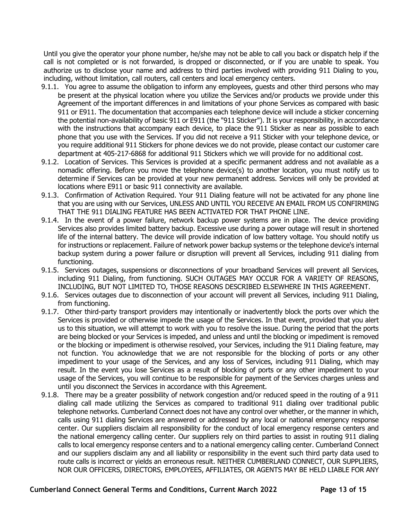Until you give the operator your phone number, he/she may not be able to call you back or dispatch help if the call is not completed or is not forwarded, is dropped or disconnected, or if you are unable to speak. You authorize us to disclose your name and address to third parties involved with providing 911 Dialing to you, including, without limitation, call routers, call centers and local emergency centers.

- 9.1.1. You agree to assume the obligation to inform any employees, guests and other third persons who may be present at the physical location where you utilize the Services and/or products we provide under this Agreement of the important differences in and limitations of your phone Services as compared with basic 911 or E911. The documentation that accompanies each telephone device will include a sticker concerning the potential non-availability of basic 911 or E911 (the "911 Sticker"). It is your responsibility, in accordance with the instructions that accompany each device, to place the 911 Sticker as near as possible to each phone that you use with the Services. If you did not receive a 911 Sticker with your telephone device, or you require additional 911 Stickers for phone devices we do not provide, please contact our customer care department at 405-217-6868 for additional 911 Stickers which we will provide for no additional cost.
- 9.1.2. Location of Services. This Services is provided at a specific permanent address and not available as a nomadic offering. Before you move the telephone device(s) to another location, you must notify us to determine if Services can be provided at your new permanent address. Services will only be provided at locations where E911 or basic 911 connectivity are available.
- 9.1.3. Confirmation of Activation Required. Your 911 Dialing feature will not be activated for any phone line that you are using with our Services, UNLESS AND UNTIL YOU RECEIVE AN EMAIL FROM US CONFIRMING THAT THE 911 DIALING FEATURE HAS BEEN ACTIVATED FOR THAT PHONE LINE.
- 9.1.4. In the event of a power failure, network backup power systems are in place. The device providing Services also provides limited battery backup. Excessive use during a power outage will result in shortened life of the internal battery. The device will provide indication of low battery voltage. You should notify us for instructions or replacement. Failure of network power backup systems or the telephone device's internal backup system during a power failure or disruption will prevent all Services, including 911 dialing from functioning.
- 9.1.5. Services outages, suspensions or disconnections of your broadband Services will prevent all Services, including 911 Dialing, from functioning. SUCH OUTAGES MAY OCCUR FOR A VARIETY OF REASONS, INCLUDING, BUT NOT LIMITED TO, THOSE REASONS DESCRIBED ELSEWHERE IN THIS AGREEMENT.
- 9.1.6. Services outages due to disconnection of your account will prevent all Services, including 911 Dialing, from functioning.
- 9.1.7. Other third-party transport providers may intentionally or inadvertently block the ports over which the Services is provided or otherwise impede the usage of the Services. In that event, provided that you alert us to this situation, we will attempt to work with you to resolve the issue. During the period that the ports are being blocked or your Services is impeded, and unless and until the blocking or impediment is removed or the blocking or impediment is otherwise resolved, your Services, including the 911 Dialing feature, may not function. You acknowledge that we are not responsible for the blocking of ports or any other impediment to your usage of the Services, and any loss of Services, including 911 Dialing, which may result. In the event you lose Services as a result of blocking of ports or any other impediment to your usage of the Services, you will continue to be responsible for payment of the Services charges unless and until you disconnect the Services in accordance with this Agreement.
- 9.1.8. There may be a greater possibility of network congestion and/or reduced speed in the routing of a 911 dialing call made utilizing the Services as compared to traditional 911 dialing over traditional public telephone networks. Cumberland Connect does not have any control over whether, or the manner in which, calls using 911 dialing Services are answered or addressed by any local or national emergency response center. Our suppliers disclaim all responsibility for the conduct of local emergency response centers and the national emergency calling center. Our suppliers rely on third parties to assist in routing 911 dialing calls to local emergency response centers and to a national emergency calling center. Cumberland Connect and our suppliers disclaim any and all liability or responsibility in the event such third party data used to route calls is incorrect or yields an erroneous result. NEITHER CUMBERLAND CONNECT, OUR SUPPLIERS, NOR OUR OFFICERS, DIRECTORS, EMPLOYEES, AFFILIATES, OR AGENTS MAY BE HELD LIABLE FOR ANY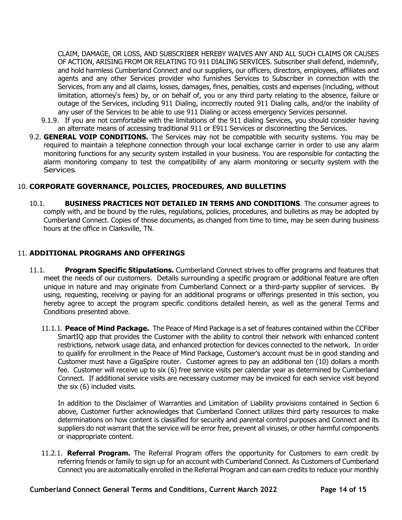CLAIM, DAMAGE, OR LOSS, AND SUBSCRIBER HEREBY WAIVES ANY AND ALL SUCH CLAIMS OR CAUSES OF ACTION, ARISING FROM OR RELATING TO 911 DIALING SERVICES. Subscriber shall defend, indemnify, and hold harmless Cumberland Connect and our suppliers, our officers, directors, employees, affiliates and agents and any other Services provider who furnishes Services to Subscriber in connection with the Services, from any and all claims, losses, damages, fines, penalties, costs and expenses (including, without limitation, attorney's fees) by, or on behalf of, you or any third party relating to the absence, failure or outage of the Services, including 911 Dialing, incorrectly routed 911 Dialing calls, and/or the inability of any user of the Services to be able to use 911 Dialing or access emergency Services personnel.

- 9.1.9. If you are not comfortable with the limitations of the 911 dialing Services, you should consider having an alternate means of accessing traditional 911 or E911 Services or disconnecting the Services.
- 9.2. **GENERAL VOIP CONDITIONS.** The Services may not be compatible with security systems. You may be required to maintain a telephone connection through your local exchange carrier in order to use any alarm monitoring functions for any security system installed in your business. You are responsible for contacting the alarm monitoring company to test the compatibility of any alarm monitoring or security system with the Services.

#### 10. **CORPORATE GOVERNANCE, POLICIES, PROCEDURES, AND BULLETINS**

10.1. **BUSINESS PRACTICES NOT DETAILED IN TERMS AND CONDITIONS**. The consumer agrees to comply with, and be bound by the rules, regulations, policies, procedures, and bulletins as may be adopted by Cumberland Connect. Copies of those documents, as changed from time to time, may be seen during business hours at the office in Clarksville, TN.

#### 11. **ADDITIONAL PROGRAMS AND OFFERINGS**

- 11.1. **Program Specific Stipulations.** Cumberland Connect strives to offer programs and features that meet the needs of our customers. Details surrounding a specific program or additional feature are often unique in nature and may originate from Cumberland Connect or a third-party supplier of services. By using, requesting, receiving or paying for an additional programs or offerings presented in this section, you hereby agree to accept the program specific conditions detailed herein, as well as the general Terms and Conditions presented above.
	- 11.1.1. **Peace of Mind Package.** The Peace of Mind Package is a set of features contained within the CCFiber SmartIQ app that provides the Customer with the ability to control their network with enhanced content restrictions, network usage data, and enhanced protection for devices connected to the network. In order to qualify for enrollment in the Peace of Mind Package, Customer's account must be in good standing and Customer must have a GigaSpire router. Customer agrees to pay an additional ten (10) dollars a month fee. Customer will receive up to six (6) free service visits per calendar year as determined by Cumberland Connect. If additional service visits are necessary customer may be invoiced for each service visit beyond the six (6) included visits.

In addition to the Disclaimer of Warranties and Limitation of Liability provisions contained in Section 6 above, Customer further acknowledges that Cumberland Connect utilizes third party resources to make determinations on how content is classified for security and parental control purposes and Connect and its suppliers do not warrant that the service will be error free, prevent all viruses, or other harmful components or inappropriate content.

11.2.1. **Referral Program.** The Referral Program offers the opportunity for Customers to earn credit by referring friends or family to sign up for an account with Cumberland Connect. As Customers of Cumberland Connect you are automatically enrolled in the Referral Program and can earn credits to reduce your monthly